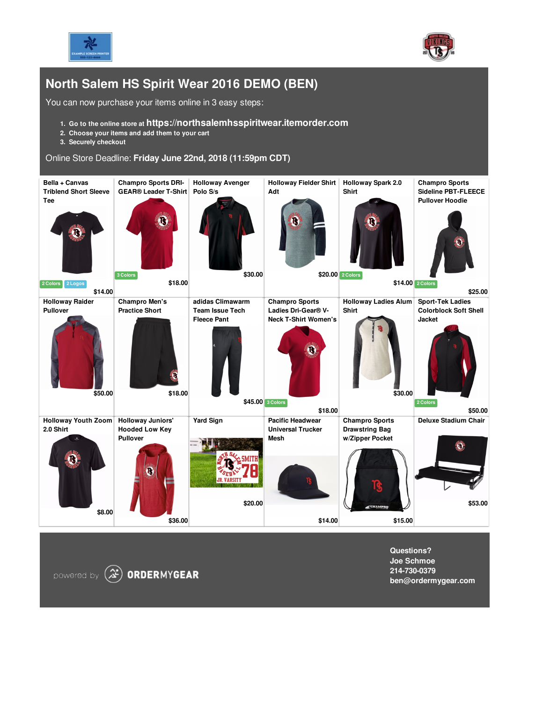



#### **North Salem HS Spirit Wear 2016 DEMO (BEN)**

You can now purchase your items online in 3 easy steps:

- **1. Go to the online store at https://northsalemhsspiritwear.itemorder.com**
- **2. Choose your items and add them to your cart**
- **3. Securely checkout**

Online Store Deadline: **Friday June 22nd, 2018 (11:59pm CDT)**



**Questions? Joe Schmoe 214-730-0379 ben@ordermygear.com**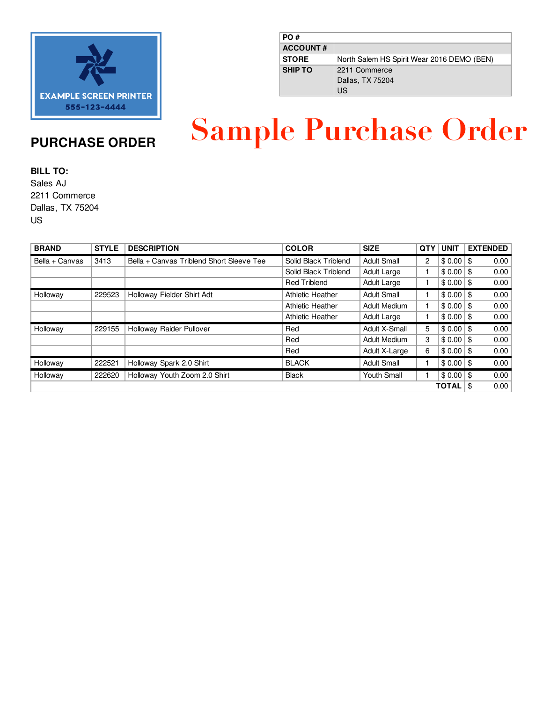

| PO#             |                                            |
|-----------------|--------------------------------------------|
| <b>ACCOUNT#</b> |                                            |
| <b>STORE</b>    | North Salem HS Spirit Wear 2016 DEMO (BEN) |
| <b>SHIP TO</b>  | 2211 Commerce                              |
|                 | Dallas, TX 75204                           |
|                 | US                                         |

### **PURCHASE ORDER**

## **Sample Purchase Order**

**BILL TO:**

Sales AJ 2211 Commerce Dallas, TX 75204 US

| <b>BRAND</b>   | <b>STYLE</b> | <b>DESCRIPTION</b>                       | <b>COLOR</b>            | <b>SIZE</b>        | <b>QTY</b>     | <b>UNIT</b>  | <b>EXTENDED</b> |
|----------------|--------------|------------------------------------------|-------------------------|--------------------|----------------|--------------|-----------------|
| Bella + Canvas | 3413         | Bella + Canvas Triblend Short Sleeve Tee | Solid Black Triblend    | <b>Adult Small</b> | $\overline{c}$ | \$0.00       | 0.00<br>∣\$     |
|                |              |                                          | Solid Black Triblend    | Adult Large        |                | $$0.00$   \$ | 0.00            |
|                |              |                                          | <b>Red Triblend</b>     | Adult Large        |                | $$0.00$   \$ | 0.00            |
| Holloway       | 229523       | Holloway Fielder Shirt Adt               | <b>Athletic Heather</b> | <b>Adult Small</b> |                | $$0.00$ \\$  | 0.00            |
|                |              |                                          | Athletic Heather        | Adult Medium       |                | $$0.00$   \$ | 0.00            |
|                |              |                                          | Athletic Heather        | Adult Large        |                | $$0.00$   \$ | 0.00            |
| Holloway       | 229155       | Holloway Raider Pullover                 | Red                     | Adult X-Small      | 5              | $$0.00$   \$ | 0.00            |
|                |              |                                          | Red                     | Adult Medium       | 3              | $$0.00$   \$ | 0.00            |
|                |              |                                          | Red                     | Adult X-Large      | 6              | $$0.00$   \$ | 0.00            |
| Holloway       | 222521       | Holloway Spark 2.0 Shirt                 | <b>BLACK</b>            | <b>Adult Small</b> |                | $$0.00$   \$ | 0.00            |
| Holloway       | 222620       | Holloway Youth Zoom 2.0 Shirt            | <b>Black</b>            | <b>Youth Small</b> |                | \$0.00       | 0.00<br>ا \$    |
|                |              |                                          |                         |                    |                | <b>TOTAL</b> | 0.00<br>\$      |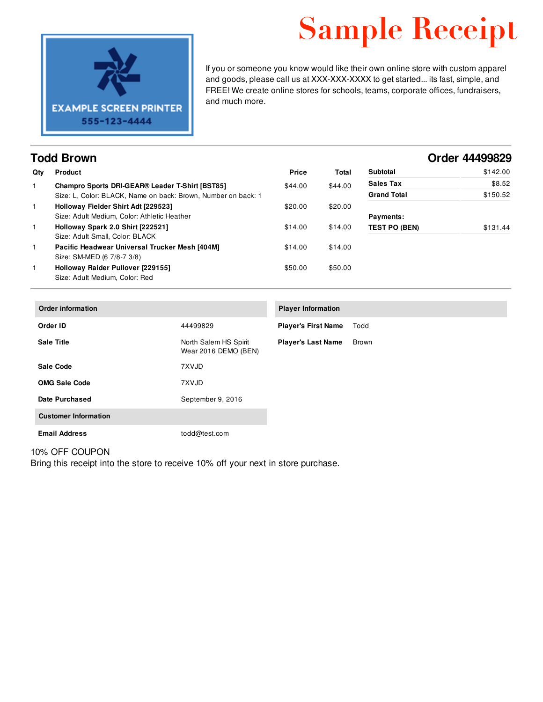

## **Sample Receipt**

If you or someone you know would like their own online store with custom apparel and goods, please call us at XXX-XXX-XXXX to get started... its fast, simple, and FREE! We create online stores for schools, teams, corporate offices, fundraisers, and much more.

#### **Todd Brown Order 44499829**

| Qtv          | Product                                                                      | Price   | Total   | <b>Subtotal</b>      | \$142.00 |
|--------------|------------------------------------------------------------------------------|---------|---------|----------------------|----------|
| 1.           | Champro Sports DRI-GEAR® Leader T-Shirt [BST85]                              | \$44.00 | \$44.00 | <b>Sales Tax</b>     | \$8.52   |
|              | Size: L. Color: BLACK, Name on back: Brown, Number on back: 1                |         |         | <b>Grand Total</b>   | \$150.52 |
| $\mathbf{1}$ | <b>Holloway Fielder Shirt Adt [229523]</b>                                   | \$20.00 | \$20.00 |                      |          |
|              | Size: Adult Medium, Color: Athletic Heather                                  |         |         | <b>Payments:</b>     |          |
| $\mathbf{1}$ | Holloway Spark 2.0 Shirt [222521]<br>Size: Adult Small, Color: BLACK         | \$14.00 | \$14.00 | <b>TEST PO (BEN)</b> | \$131.44 |
| 1.           | Pacific Headwear Universal Trucker Mesh [404M]<br>Size: SM-MED (6 7/8-7 3/8) | \$14.00 | \$14.00 |                      |          |
| 1.           | Holloway Raider Pullover [229155]<br>Size: Adult Medium, Color: Red          | \$50.00 | \$50.00 |                      |          |

| <b>Order information</b>    |                                               | <b>Player Information</b>  |       |
|-----------------------------|-----------------------------------------------|----------------------------|-------|
| Order ID                    | 44499829                                      | <b>Player's First Name</b> | Todd  |
| Sale Title                  | North Salem HS Spirit<br>Wear 2016 DEMO (BEN) | <b>Player's Last Name</b>  | Brown |
| <b>Sale Code</b>            | 7XVJD                                         |                            |       |
| <b>OMG Sale Code</b>        | 7XVJD                                         |                            |       |
| Date Purchased              | September 9, 2016                             |                            |       |
| <b>Customer Information</b> |                                               |                            |       |

**Email Address** todd@test.com

#### 10% OFF COUPON

Bring this receipt into the store to receive 10% off your next in store purchase.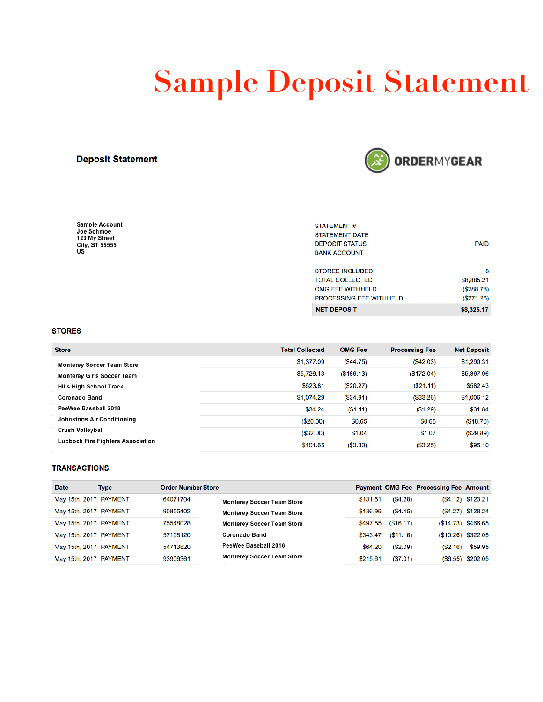## **Sample Deposit Statement**

#### **Deposit Statement**



| <b>Sample Account</b> |
|-----------------------|
|                       |
| Joe Schmoe            |
| 123 My Street         |
|                       |
| <b>City, ST 55555</b> |
| US                    |
|                       |

| <b>NET DEPOSIT</b>             | \$8,325.17  |
|--------------------------------|-------------|
| <b>PROCESSING FEE WITHHELD</b> | (S271.26)   |
| OMG FEE WITHHELD               | (S288.78)   |
| <b>TOTAL COLLECTED</b>         | \$8,885.21  |
| <b>STORES INCLUDED</b>         | 8           |
| <b>BANK ACCOUNT</b>            |             |
| <b>DEPOSIT STATUS</b>          | <b>PAID</b> |
| <b>STATEMENT DATE</b>          |             |
| STATEMENT#                     |             |

#### **STORES**

| <b>Store</b>                             | <b>Total Collected</b> | <b>OMG Fee</b> | <b>Processing Fee</b> | <b>Net Deposit</b> |
|------------------------------------------|------------------------|----------------|-----------------------|--------------------|
| <b>Monterey Soccer Team Store</b>        | \$1,377.09             | (S44.75)       | (S42.03)              | \$1,290.31         |
| <b>Monterey Girls Soccer Team</b>        | \$5,726.13             | (S186.13)      | (S172.04)             | \$5,367.96         |
| <b>Hills High School Track</b>           | \$623.81               | (\$20.27)      | (\$21.11)             | \$582.43           |
| <b>Coronado Band</b>                     | \$1,074.29             | (\$34.91)      | (\$33.26)             | \$1,006.12         |
| PeeWee Baseball 2018                     | \$34.24                | (S1.11)        | (\$1.29)              | \$31.84            |
| <b>Johnstons Air Conditioning</b>        | $(\$20.00)$            | \$0.65         | \$0.65                | (\$18.70)          |
| <b>Crush Volleyball</b>                  | (\$32.00)              | \$1.04         | \$1.07                | (\$29.89)          |
| <b>Lubbock Fire Fighters Association</b> | \$101.65               | (\$3.30)       | (\$3.25)              | \$95.10            |

#### **TRANSACTIONS**

| <b>Date</b>            | <b>Type</b> | <b>Order Number Store</b> |                                   |          |           | Payment OMG Fee Processing Fee Amount |                     |
|------------------------|-------------|---------------------------|-----------------------------------|----------|-----------|---------------------------------------|---------------------|
| May 15th, 2017 PAYMENT |             | 64071704                  | <b>Monterey Soccer Team Store</b> | \$131.61 | (S4.28)   |                                       | $($4.12)$ \$123.21  |
| May 15th, 2017 PAYMENT |             | 90855402                  | <b>Monterey Soccer Team Store</b> | \$136.96 | (S4.45)   |                                       | $($4.27)$ \$128.24  |
| May 15th, 2017 PAYMENT |             | 75548028                  | <b>Monterey Soccer Team Store</b> | \$497.55 | (\$16.17) |                                       | $(S14.73)$ \$466.65 |
| May 15th, 2017 PAYMENT |             | 57198120                  | <b>Coronado Band</b>              | \$343.47 | (S11.16)  | (\$10.26) \$322.05                    |                     |
| May 15th, 2017 PAYMENT |             | 54713820                  | PeeWee Baseball 2018              | \$64.20  | (\$2.09)  | (S2.16)                               | \$59.95             |
| May 15th, 2017 PAYMENT |             | 93906361                  | <b>Monterey Soccer Team Store</b> | \$215.61 | (S7.01)   |                                       | $($6.55)$ \$202.05  |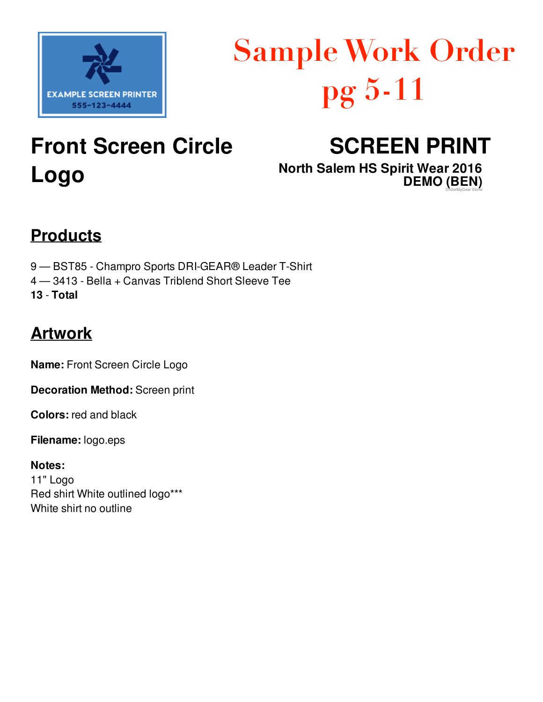

# **Sample Work Order pg 5-11**

## **Front Screen Circle Logo North Salem HS Spirit Wear <sup>2016</sup>**

**SCREEN PRINT**

**DEMO** (BEN)

## **Products**

9 — BST85 - Champro Sports DRI-GEAR® Leader T-Shirt 4 — 3413 - Bella + Canvas Triblend Short Sleeve Tee **13** - **Total**

## **Artwork**

**Name:** Front Screen Circle Logo

**Decoration Method:** Screen print

**Colors:** red and black

**Filename:** logo.eps

**Notes:** 11" Logo Red shirt White outlined logo\*\*\* White shirt no outline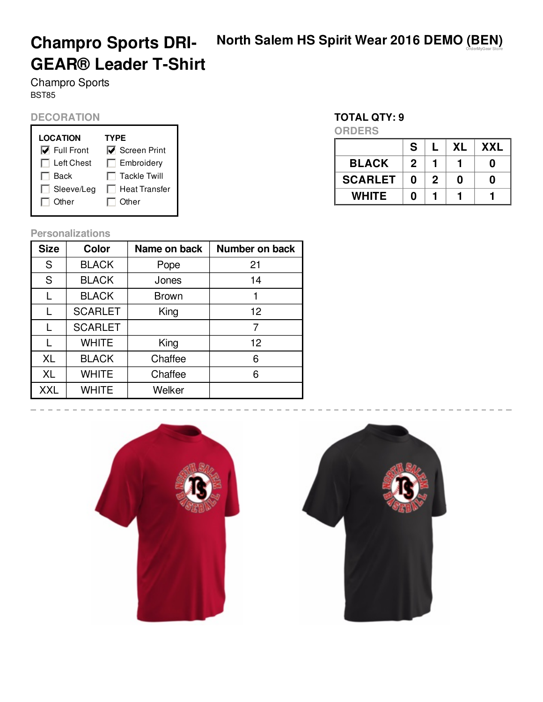#### **North Salem HS Spirit Wear 2016 DEMO (BEN) Champro Sports DRI-GEAR® Leader T-Shirt**

#### **DECORATION**

| <b>TYPE</b>                          |
|--------------------------------------|
| $\overline{\mathbf{V}}$ Screen Print |
| $\Box$ Embroidery                    |
| $\Box$ Tackle Twill                  |
| $\Box$ Heat Transfer                 |
| $\Box$ Other                         |
|                                      |

#### **ORDERS TOTAL QTY: 9**

|                | S           |             | XL | <b>XXL</b> |
|----------------|-------------|-------------|----|------------|
| <b>BLACK</b>   | $\mathbf 2$ |             |    |            |
| <b>SCARLET</b> | 0           | $\mathbf 2$ | Ω  |            |
| <b>WHITE</b>   | 0           |             |    |            |

#### **Personalizations**

| <b>Size</b> | <b>Color</b>   | Name on back | Number on back |
|-------------|----------------|--------------|----------------|
| S           | <b>BLACK</b>   | Pope         | 21             |
| S           | <b>BLACK</b>   | Jones        | 14             |
| L           | <b>BLACK</b>   | <b>Brown</b> |                |
| L           | <b>SCARLET</b> | King         | 12             |
| L           | <b>SCARLET</b> |              | 7              |
| L           | <b>WHITE</b>   | King         | 12             |
| <b>XL</b>   | <b>BLACK</b>   | Chaffee      | 6              |
| <b>XL</b>   | <b>WHITE</b>   | Chaffee      | 6              |
| <b>XXL</b>  | <b>WHITE</b>   | Welker       |                |



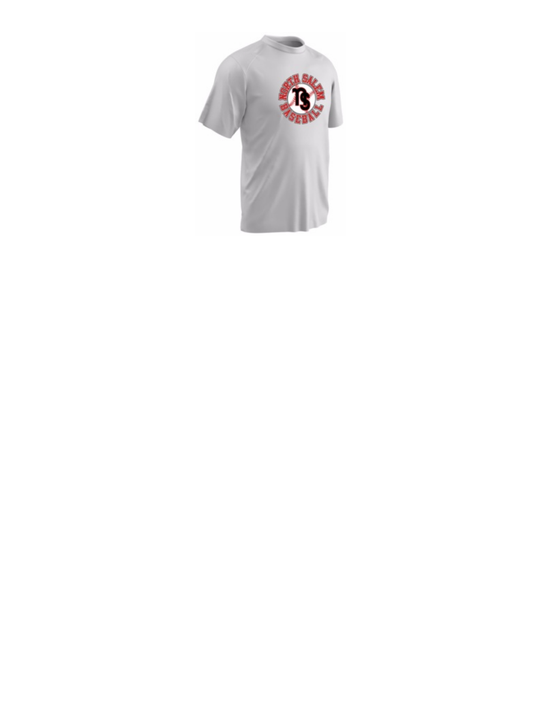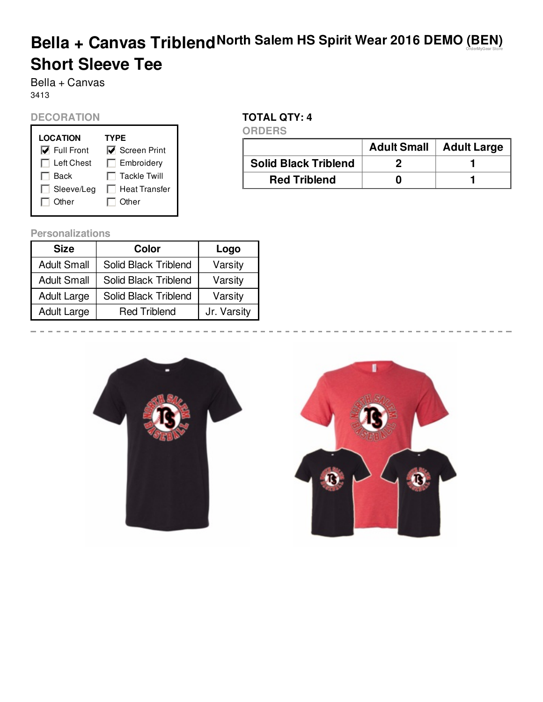### **Della + Canvas TriblendNorth Salem HS Spirit Wear 2016 DEMO (BEN) Short Sleeve Tee**

Bella + Canvas 3413

#### **DECORATION**



#### **TOTAL QTY: 4**

**ORDERS**

|                             | <b>Adult Small   Adult Large</b> |
|-----------------------------|----------------------------------|
| <b>Solid Black Triblend</b> |                                  |
| <b>Red Triblend</b>         |                                  |

**Personalizations**

| <b>Size</b>        | <b>Color</b>         | Logo        |
|--------------------|----------------------|-------------|
| <b>Adult Small</b> | Solid Black Triblend | Varsity     |
| <b>Adult Small</b> | Solid Black Triblend | Varsity     |
| <b>Adult Large</b> | Solid Black Triblend | Varsity     |
| <b>Adult Large</b> | <b>Red Triblend</b>  | Jr. Varsity |



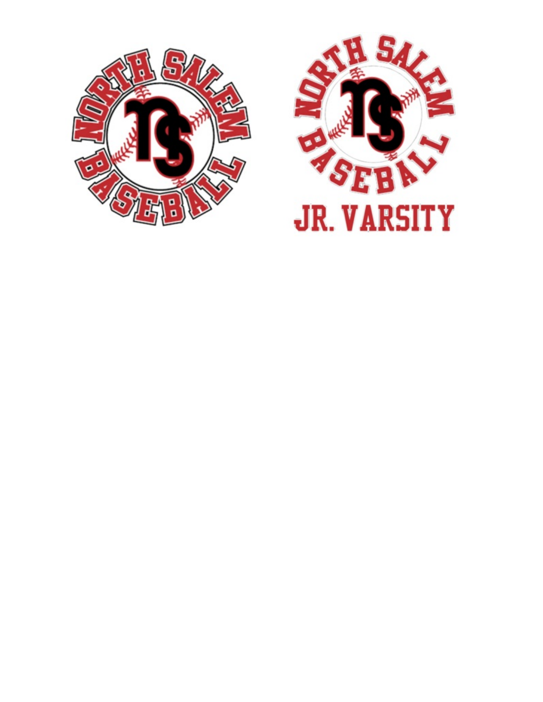

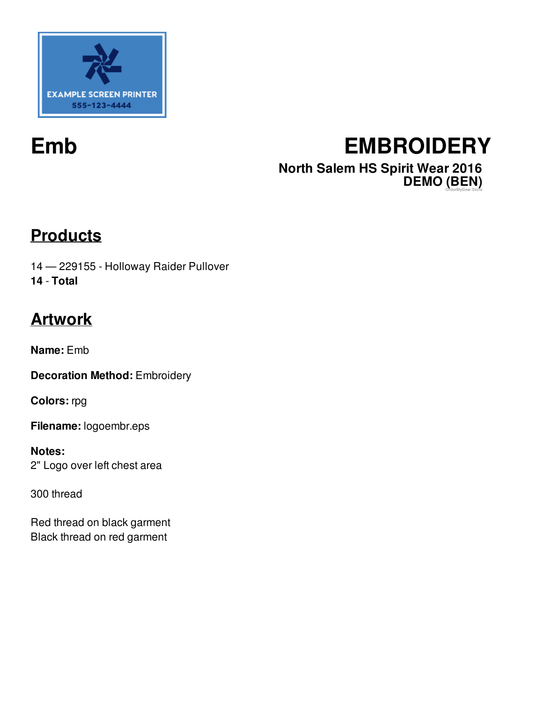

## **Emb**

## **EMBROIDERY**

**North Salem HS Spirit Wear 2016 DEMO** (BEN)

### **Products**

14 — 229155 - Holloway Raider Pullover **14** - **Total**

## **Artwork**

**Name:** Emb

**Decoration Method:** Embroidery

**Colors:** rpg

**Filename:** logoembr.eps

**Notes:** 2" Logo over left chest area

300 thread

Red thread on black garment Black thread on red garment